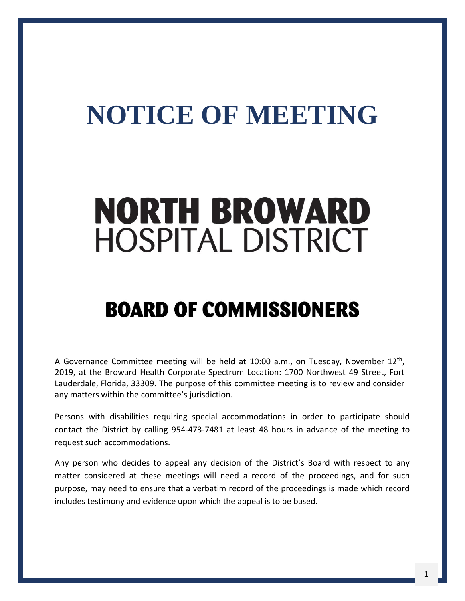## **NOTICE OF MEETING**

# **NORTH BROWARD HOSPITAL DISTRICT**

## **BOARD OF COMMISSIONERS**

A Governance Committee meeting will be held at 10:00 a.m., on Tuesday, November 12<sup>th</sup>, 2019, at the Broward Health Corporate Spectrum Location: 1700 Northwest 49 Street, Fort Lauderdale, Florida, 33309. The purpose of this committee meeting is to review and consider any matters within the committee's jurisdiction.

Persons with disabilities requiring special accommodations in order to participate should contact the District by calling 954-473-7481 at least 48 hours in advance of the meeting to request such accommodations.

Any person who decides to appeal any decision of the District's Board with respect to any matter considered at these meetings will need a record of the proceedings, and for such purpose, may need to ensure that a verbatim record of the proceedings is made which record includes testimony and evidence upon which the appeal is to be based.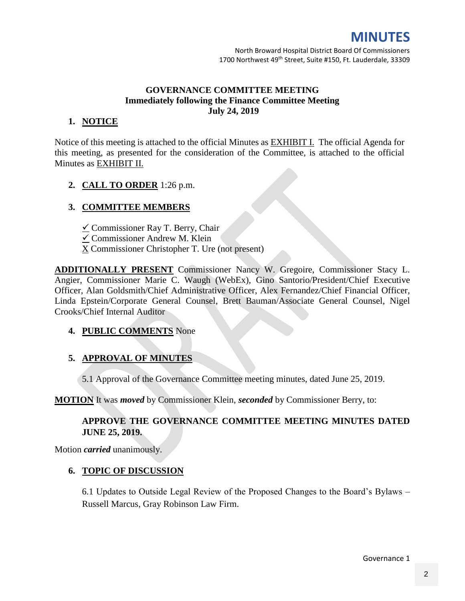## **MINUTES**

## **GOVERNANCE COMMITTEE MEETING Immediately following the Finance Committee Meeting July 24, 2019**

## **1. NOTICE**

Notice of this meeting is attached to the official Minutes as **EXHIBIT I.** The official Agenda for this meeting, as presented for the consideration of the Committee, is attached to the official Minutes as EXHIBIT II.

## **2. CALL TO ORDER** 1:26 p.m.

## **3. COMMITTEE MEMBERS**

- $\angle$  Commissioner Ray T. Berry, Chair
- Commissioner Andrew M. Klein
- X Commissioner Christopher T. Ure (not present)

**ADDITIONALLY PRESENT** Commissioner Nancy W. Gregoire, Commissioner Stacy L. Angier, Commissioner Marie C. Waugh (WebEx), Gino Santorio/President/Chief Executive Officer, Alan Goldsmith/Chief Administrative Officer, Alex Fernandez/Chief Financial Officer, Linda Epstein/Corporate General Counsel, Brett Bauman/Associate General Counsel, Nigel Crooks/Chief Internal Auditor

## **4. PUBLIC COMMENTS** None

## **5. APPROVAL OF MINUTES**

5.1 Approval of the Governance Committee meeting minutes, dated June 25, 2019.

**MOTION** It was *moved* by Commissioner Klein, *seconded* by Commissioner Berry, to:

## **APPROVE THE GOVERNANCE COMMITTEE MEETING MINUTES DATED JUNE 25, 2019.**

Motion *carried* unanimously.

## **6. TOPIC OF DISCUSSION**

6.1 Updates to Outside Legal Review of the Proposed Changes to the Board's Bylaws – Russell Marcus, Gray Robinson Law Firm.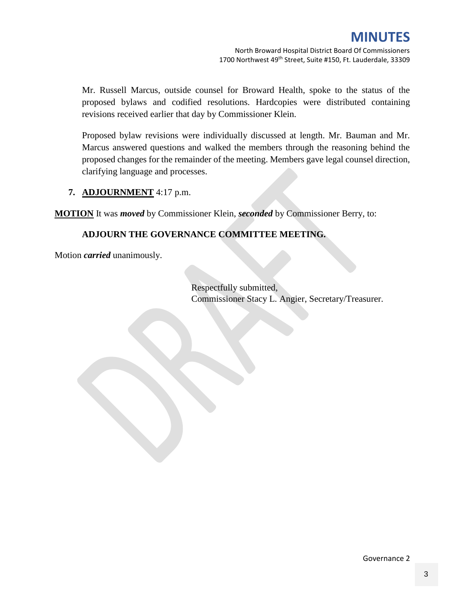Mr. Russell Marcus, outside counsel for Broward Health, spoke to the status of the proposed bylaws and codified resolutions. Hardcopies were distributed containing revisions received earlier that day by Commissioner Klein.

Proposed bylaw revisions were individually discussed at length. Mr. Bauman and Mr. Marcus answered questions and walked the members through the reasoning behind the proposed changes for the remainder of the meeting. Members gave legal counsel direction, clarifying language and processes.

## **7. ADJOURNMENT** 4:17 p.m.

**MOTION** It was *moved* by Commissioner Klein, *seconded* by Commissioner Berry, to:

## **ADJOURN THE GOVERNANCE COMMITTEE MEETING.**

Motion *carried* unanimously.

Respectfully submitted, Commissioner Stacy L. Angier, Secretary/Treasurer.

Governance 2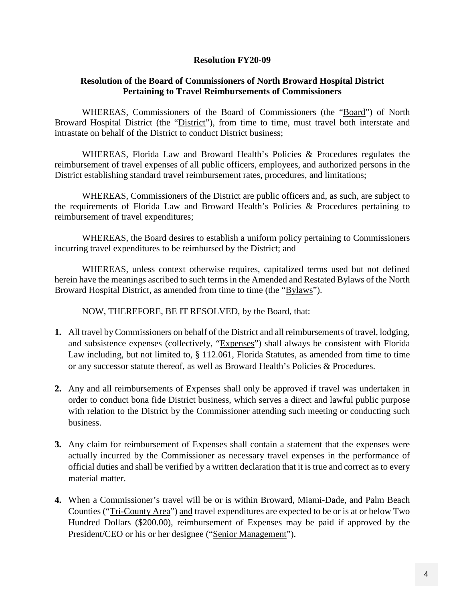### **Resolution FY20-09**

### **Resolution of the Board of Commissioners of North Broward Hospital District Pertaining to Travel Reimbursements of Commissioners**

WHEREAS, Commissioners of the Board of Commissioners (the "Board") of North Broward Hospital District (the "District"), from time to time, must travel both interstate and intrastate on behalf of the District to conduct District business;

WHEREAS, Florida Law and Broward Health's Policies & Procedures regulates the reimbursement of travel expenses of all public officers, employees, and authorized persons in the District establishing standard travel reimbursement rates, procedures, and limitations;

WHEREAS, Commissioners of the District are public officers and, as such, are subject to the requirements of Florida Law and Broward Health's Policies & Procedures pertaining to reimbursement of travel expenditures;

WHEREAS, the Board desires to establish a uniform policy pertaining to Commissioners incurring travel expenditures to be reimbursed by the District; and

WHEREAS, unless context otherwise requires, capitalized terms used but not defined herein have the meanings ascribed to such terms in the Amended and Restated Bylaws of the North Broward Hospital District, as amended from time to time (the "Bylaws").

NOW, THEREFORE, BE IT RESOLVED, by the Board, that:

- **1.** All travel by Commissioners on behalf of the District and all reimbursements of travel, lodging, and subsistence expenses (collectively, "Expenses") shall always be consistent with Florida Law including, but not limited to, § 112.061, Florida Statutes, as amended from time to time or any successor statute thereof, as well as Broward Health's Policies & Procedures.
- **2.** Any and all reimbursements of Expenses shall only be approved if travel was undertaken in order to conduct bona fide District business, which serves a direct and lawful public purpose with relation to the District by the Commissioner attending such meeting or conducting such business.
- **3.** Any claim for reimbursement of Expenses shall contain a statement that the expenses were actually incurred by the Commissioner as necessary travel expenses in the performance of official duties and shall be verified by a written declaration that it is true and correct as to every material matter.
- **4.** When a Commissioner's travel will be or is within Broward, Miami-Dade, and Palm Beach Counties ("Tri-County Area") and travel expenditures are expected to be or is at or below Two Hundred Dollars (\$200.00), reimbursement of Expenses may be paid if approved by the President/CEO or his or her designee ("Senior Management").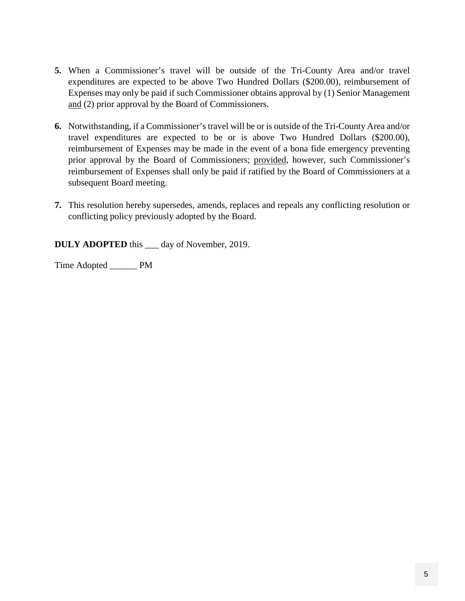- **5.** When a Commissioner's travel will be outside of the Tri-County Area and/or travel expenditures are expected to be above Two Hundred Dollars (\$200.00), reimbursement of Expenses may only be paid if such Commissioner obtains approval by (1) Senior Management and (2) prior approval by the Board of Commissioners.
- **6.** Notwithstanding, if a Commissioner's travel will be or is outside of the Tri-County Area and/or travel expenditures are expected to be or is above Two Hundred Dollars (\$200.00), reimbursement of Expenses may be made in the event of a bona fide emergency preventing prior approval by the Board of Commissioners; provided, however, such Commissioner's reimbursement of Expenses shall only be paid if ratified by the Board of Commissioners at a subsequent Board meeting.
- **7.** This resolution hereby supersedes, amends, replaces and repeals any conflicting resolution or conflicting policy previously adopted by the Board.

**DULY ADOPTED** this \_\_\_ day of November, 2019.

Time Adopted \_\_\_\_\_\_ PM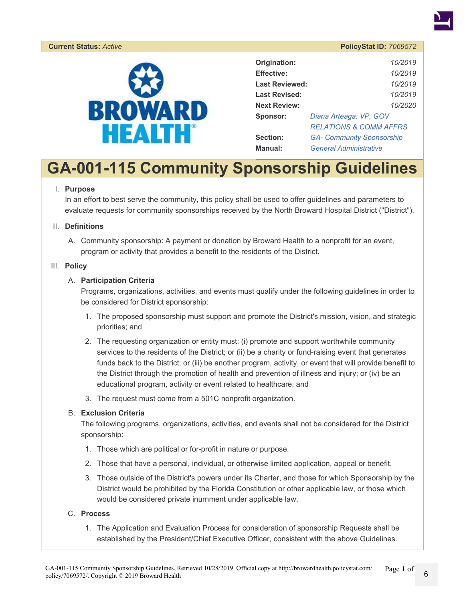

#### **Current Status:** *Active* **PolicyStat ID:** *7069572*



| Origination:         | 10/2019                           |  |  |
|----------------------|-----------------------------------|--|--|
| <b>Effective:</b>    | 10/2019                           |  |  |
| Last Reviewed:       | 10/2019                           |  |  |
| <b>Last Revised:</b> | 10/2019                           |  |  |
| <b>Next Review:</b>  | 10/2020                           |  |  |
| Sponsor:             | Diana Arteaga: VP, GOV            |  |  |
|                      | <b>RELATIONS &amp; COMM AFFRS</b> |  |  |
| Section:             | <b>GA- Community Sponsorship</b>  |  |  |
| Manual:              | <b>General Administrative</b>     |  |  |

## **GA-001-115 Community Sponsorship Guidelines**

#### I. **Purpose**

In an effort to best serve the community, this policy shall be used to offer guidelines and parameters to evaluate requests for community sponsorships received by the North Broward Hospital District ("District").

#### II. **Definitions**

A. Community sponsorship: A payment or donation by Broward Health to a nonprofit for an event, program or activity that provides a benefit to the residents of the District.

#### III. **Policy**

#### A. **Participation Criteria**

Programs, organizations, activities, and events must qualify under the following guidelines in order to be considered for District sponsorship:

- 1. The proposed sponsorship must support and promote the District's mission, vision, and strategic priorities; and
- 2. The requesting organization or entity must: (i) promote and support worthwhile community services to the residents of the District; or (ii) be a charity or fund-raising event that generates funds back to the District; or (iii) be another program, activity, or event that will provide benefit to the District through the promotion of health and prevention of illness and injury; or (iv) be an educational program, activity or event related to healthcare; and
- 3. The request must come from a 501C nonprofit organization.

#### B. **Exclusion Criteria**

The following programs, organizations, activities, and events shall not be considered for the District sponsorship:

- 1. Those which are political or for-profit in nature or purpose.
- 2. Those that have a personal, individual, or otherwise limited application, appeal or benefit.
- 3. Those outside of the District's powers under its Charter, and those for which Sponsorship by the District would be prohibited by the Florida Constitution or other applicable law, or those which would be considered private inurnment under applicable law.

#### C. **Process**

1. The Application and Evaluation Process for consideration of sponsorship Requests shall be established by the President/Chief Executive Officer, consistent with the above Guidelines.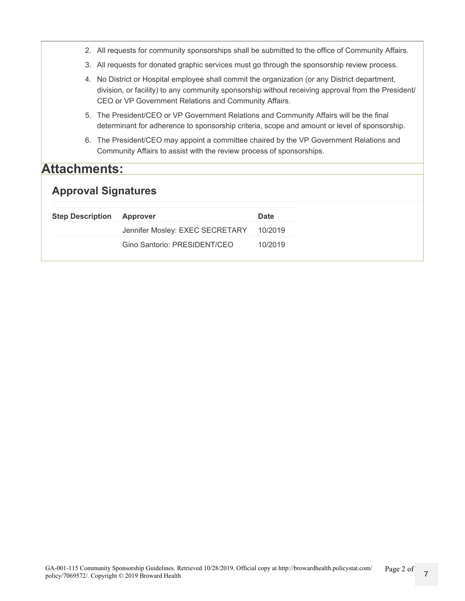|                            |  | 2. All requests for community sponsorships shall be submitted to the office of Community Affairs.                                                                                                                                                             |             |  |  |  |  |
|----------------------------|--|---------------------------------------------------------------------------------------------------------------------------------------------------------------------------------------------------------------------------------------------------------------|-------------|--|--|--|--|
|                            |  | 3. All requests for donated graphic services must go through the sponsorship review process.                                                                                                                                                                  |             |  |  |  |  |
|                            |  | 4. No District or Hospital employee shall commit the organization (or any District department,<br>division, or facility) to any community sponsorship without receiving approval from the President/<br>CEO or VP Government Relations and Community Affairs. |             |  |  |  |  |
|                            |  | 5. The President/CEO or VP Government Relations and Community Affairs will be the final<br>determinant for adherence to sponsorship criteria, scope and amount or level of sponsorship.                                                                       |             |  |  |  |  |
| 6.                         |  | The President/CEO may appoint a committee chaired by the VP Government Relations and<br>Community Affairs to assist with the review process of sponsorships.                                                                                                  |             |  |  |  |  |
| <b>Attachments:</b>        |  |                                                                                                                                                                                                                                                               |             |  |  |  |  |
| <b>Approval Signatures</b> |  |                                                                                                                                                                                                                                                               |             |  |  |  |  |
| <b>Step Description</b>    |  | Approver                                                                                                                                                                                                                                                      | <b>Date</b> |  |  |  |  |
|                            |  | Jennifer Mosley: EXEC SECRETARY                                                                                                                                                                                                                               | 10/2019     |  |  |  |  |
|                            |  | Gino Santorio: PRESIDENT/CEO                                                                                                                                                                                                                                  | 10/2019     |  |  |  |  |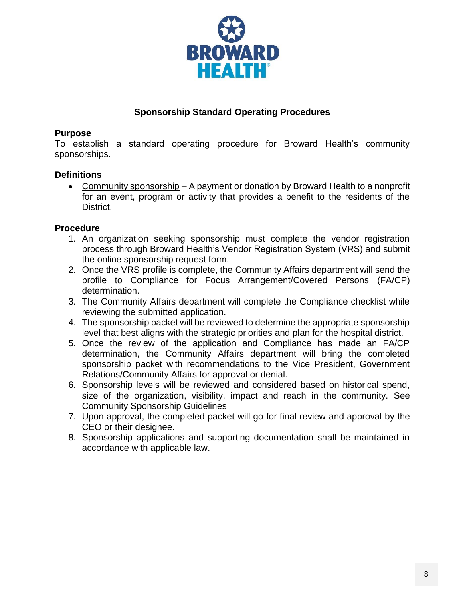

## **Sponsorship Standard Operating Procedures**

## **Purpose**

To establish a standard operating procedure for Broward Health's community sponsorships.

## **Definitions**

 Community sponsorship – A payment or donation by Broward Health to a nonprofit for an event, program or activity that provides a benefit to the residents of the District.

## **Procedure**

- 1. An organization seeking sponsorship must complete the vendor registration process through Broward Health's Vendor Registration System (VRS) and submit the online sponsorship request form.
- 2. Once the VRS profile is complete, the Community Affairs department will send the profile to Compliance for Focus Arrangement/Covered Persons (FA/CP) determination.
- 3. The Community Affairs department will complete the Compliance checklist while reviewing the submitted application.
- 4. The sponsorship packet will be reviewed to determine the appropriate sponsorship level that best aligns with the strategic priorities and plan for the hospital district.
- 5. Once the review of the application and Compliance has made an FA/CP determination, the Community Affairs department will bring the completed sponsorship packet with recommendations to the Vice President, Government Relations/Community Affairs for approval or denial.
- 6. Sponsorship levels will be reviewed and considered based on historical spend, size of the organization, visibility, impact and reach in the community. See Community Sponsorship Guidelines
- 7. Upon approval, the completed packet will go for final review and approval by the CEO or their designee.
- 8. Sponsorship applications and supporting documentation shall be maintained in accordance with applicable law.